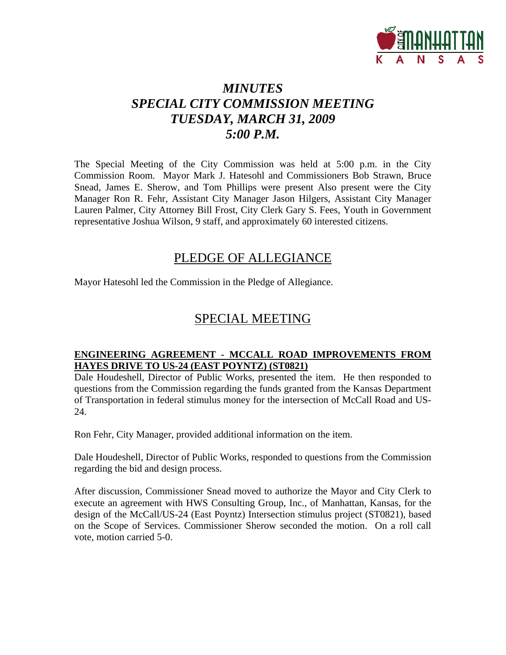

### *MINUTES SPECIAL CITY COMMISSION MEETING TUESDAY, MARCH 31, 2009 5:00 P.M.*

The Special Meeting of the City Commission was held at 5:00 p.m. in the City Commission Room. Mayor Mark J. Hatesohl and Commissioners Bob Strawn, Bruce Snead, James E. Sherow, and Tom Phillips were present Also present were the City Manager Ron R. Fehr, Assistant City Manager Jason Hilgers, Assistant City Manager Lauren Palmer, City Attorney Bill Frost, City Clerk Gary S. Fees, Youth in Government representative Joshua Wilson, 9 staff, and approximately 60 interested citizens.

### PLEDGE OF ALLEGIANCE

Mayor Hatesohl led the Commission in the Pledge of Allegiance.

### SPECIAL MEETING

### **ENGINEERING AGREEMENT - MCCALL ROAD IMPROVEMENTS FROM HAYES DRIVE TO US-24 (EAST POYNTZ) (ST0821)**

Dale Houdeshell, Director of Public Works, presented the item. He then responded to questions from the Commission regarding the funds granted from the Kansas Department of Transportation in federal stimulus money for the intersection of McCall Road and US-24.

Ron Fehr, City Manager, provided additional information on the item.

Dale Houdeshell, Director of Public Works, responded to questions from the Commission regarding the bid and design process.

After discussion, Commissioner Snead moved to authorize the Mayor and City Clerk to execute an agreement with HWS Consulting Group, Inc., of Manhattan, Kansas, for the design of the McCall/US-24 (East Poyntz) Intersection stimulus project (ST0821), based on the Scope of Services. Commissioner Sherow seconded the motion. On a roll call vote, motion carried 5-0.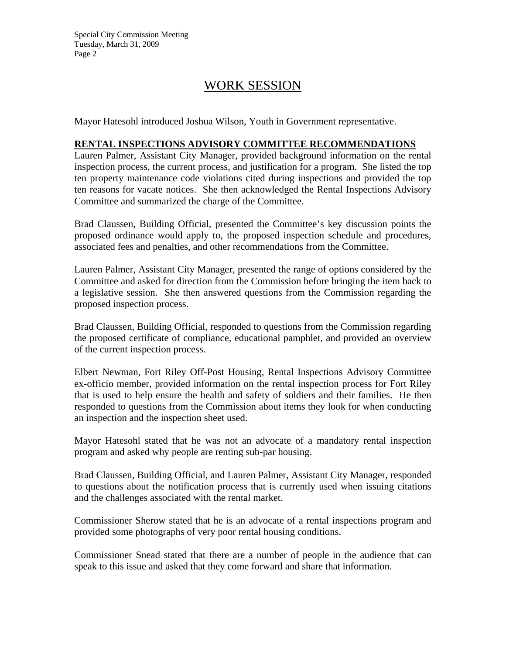### WORK SESSION

Mayor Hatesohl introduced Joshua Wilson, Youth in Government representative.

### **RENTAL INSPECTIONS ADVISORY COMMITTEE RECOMMENDATIONS**

Lauren Palmer, Assistant City Manager, provided background information on the rental inspection process, the current process, and justification for a program. She listed the top ten property maintenance code violations cited during inspections and provided the top ten reasons for vacate notices. She then acknowledged the Rental Inspections Advisory Committee and summarized the charge of the Committee.

Brad Claussen, Building Official, presented the Committee's key discussion points the proposed ordinance would apply to, the proposed inspection schedule and procedures, associated fees and penalties, and other recommendations from the Committee.

Lauren Palmer, Assistant City Manager, presented the range of options considered by the Committee and asked for direction from the Commission before bringing the item back to a legislative session. She then answered questions from the Commission regarding the proposed inspection process.

Brad Claussen, Building Official, responded to questions from the Commission regarding the proposed certificate of compliance, educational pamphlet, and provided an overview of the current inspection process.

Elbert Newman, Fort Riley Off-Post Housing, Rental Inspections Advisory Committee ex-officio member, provided information on the rental inspection process for Fort Riley that is used to help ensure the health and safety of soldiers and their families. He then responded to questions from the Commission about items they look for when conducting an inspection and the inspection sheet used.

Mayor Hatesohl stated that he was not an advocate of a mandatory rental inspection program and asked why people are renting sub-par housing.

Brad Claussen, Building Official, and Lauren Palmer, Assistant City Manager, responded to questions about the notification process that is currently used when issuing citations and the challenges associated with the rental market.

Commissioner Sherow stated that he is an advocate of a rental inspections program and provided some photographs of very poor rental housing conditions.

Commissioner Snead stated that there are a number of people in the audience that can speak to this issue and asked that they come forward and share that information.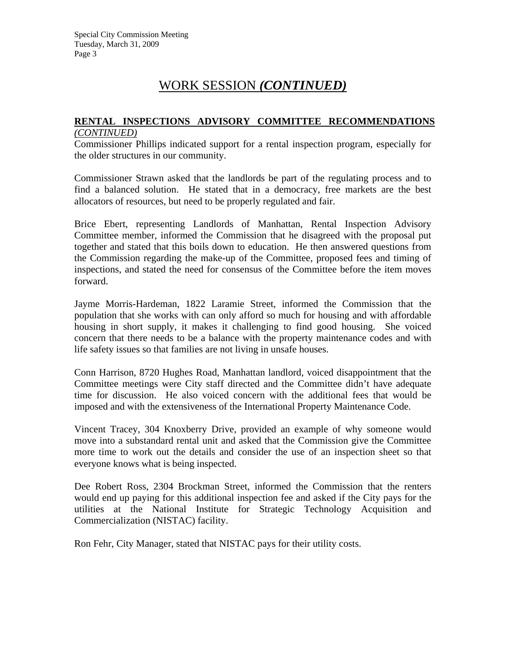### **RENTAL INSPECTIONS ADVISORY COMMITTEE RECOMMENDATIONS** *(CONTINUED)*

Commissioner Phillips indicated support for a rental inspection program, especially for the older structures in our community.

Commissioner Strawn asked that the landlords be part of the regulating process and to find a balanced solution. He stated that in a democracy, free markets are the best allocators of resources, but need to be properly regulated and fair.

Brice Ebert, representing Landlords of Manhattan, Rental Inspection Advisory Committee member, informed the Commission that he disagreed with the proposal put together and stated that this boils down to education. He then answered questions from the Commission regarding the make-up of the Committee, proposed fees and timing of inspections, and stated the need for consensus of the Committee before the item moves forward.

Jayme Morris-Hardeman, 1822 Laramie Street, informed the Commission that the population that she works with can only afford so much for housing and with affordable housing in short supply, it makes it challenging to find good housing. She voiced concern that there needs to be a balance with the property maintenance codes and with life safety issues so that families are not living in unsafe houses.

Conn Harrison, 8720 Hughes Road, Manhattan landlord, voiced disappointment that the Committee meetings were City staff directed and the Committee didn't have adequate time for discussion. He also voiced concern with the additional fees that would be imposed and with the extensiveness of the International Property Maintenance Code.

Vincent Tracey, 304 Knoxberry Drive, provided an example of why someone would move into a substandard rental unit and asked that the Commission give the Committee more time to work out the details and consider the use of an inspection sheet so that everyone knows what is being inspected.

Dee Robert Ross, 2304 Brockman Street, informed the Commission that the renters would end up paying for this additional inspection fee and asked if the City pays for the utilities at the National Institute for Strategic Technology Acquisition and Commercialization (NISTAC) facility.

Ron Fehr, City Manager, stated that NISTAC pays for their utility costs.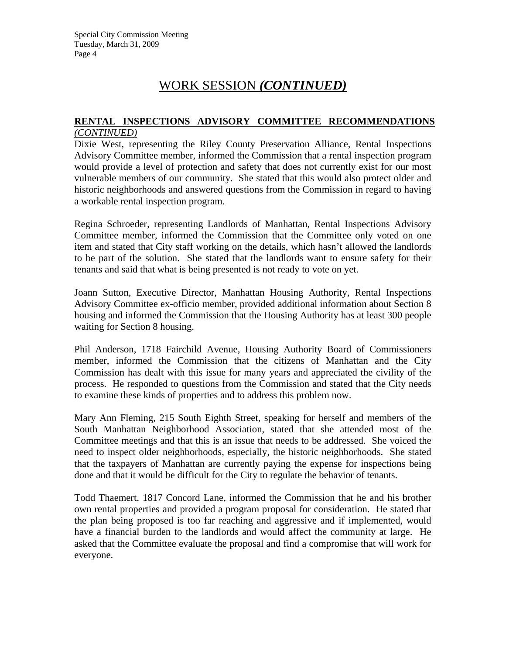#### **RENTAL INSPECTIONS ADVISORY COMMITTEE RECOMMENDATIONS** *(CONTINUED)*

Dixie West, representing the Riley County Preservation Alliance, Rental Inspections Advisory Committee member, informed the Commission that a rental inspection program would provide a level of protection and safety that does not currently exist for our most vulnerable members of our community. She stated that this would also protect older and historic neighborhoods and answered questions from the Commission in regard to having a workable rental inspection program.

Regina Schroeder, representing Landlords of Manhattan, Rental Inspections Advisory Committee member, informed the Commission that the Committee only voted on one item and stated that City staff working on the details, which hasn't allowed the landlords to be part of the solution. She stated that the landlords want to ensure safety for their tenants and said that what is being presented is not ready to vote on yet.

Joann Sutton, Executive Director, Manhattan Housing Authority, Rental Inspections Advisory Committee ex-officio member, provided additional information about Section 8 housing and informed the Commission that the Housing Authority has at least 300 people waiting for Section 8 housing.

Phil Anderson, 1718 Fairchild Avenue, Housing Authority Board of Commissioners member, informed the Commission that the citizens of Manhattan and the City Commission has dealt with this issue for many years and appreciated the civility of the process. He responded to questions from the Commission and stated that the City needs to examine these kinds of properties and to address this problem now.

Mary Ann Fleming, 215 South Eighth Street, speaking for herself and members of the South Manhattan Neighborhood Association, stated that she attended most of the Committee meetings and that this is an issue that needs to be addressed. She voiced the need to inspect older neighborhoods, especially, the historic neighborhoods. She stated that the taxpayers of Manhattan are currently paying the expense for inspections being done and that it would be difficult for the City to regulate the behavior of tenants.

Todd Thaemert, 1817 Concord Lane, informed the Commission that he and his brother own rental properties and provided a program proposal for consideration. He stated that the plan being proposed is too far reaching and aggressive and if implemented, would have a financial burden to the landlords and would affect the community at large. He asked that the Committee evaluate the proposal and find a compromise that will work for everyone.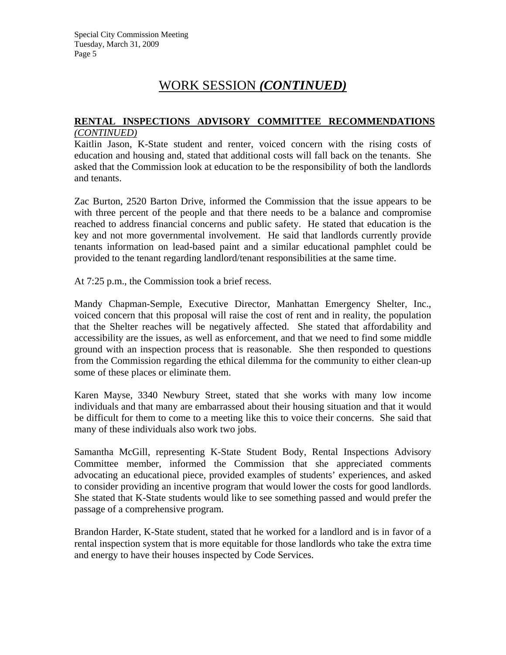#### **RENTAL INSPECTIONS ADVISORY COMMITTEE RECOMMENDATIONS** *(CONTINUED)*

Kaitlin Jason, K-State student and renter, voiced concern with the rising costs of education and housing and, stated that additional costs will fall back on the tenants. She asked that the Commission look at education to be the responsibility of both the landlords and tenants.

Zac Burton, 2520 Barton Drive, informed the Commission that the issue appears to be with three percent of the people and that there needs to be a balance and compromise reached to address financial concerns and public safety. He stated that education is the key and not more governmental involvement. He said that landlords currently provide tenants information on lead-based paint and a similar educational pamphlet could be provided to the tenant regarding landlord/tenant responsibilities at the same time.

At 7:25 p.m., the Commission took a brief recess.

Mandy Chapman-Semple, Executive Director, Manhattan Emergency Shelter, Inc., voiced concern that this proposal will raise the cost of rent and in reality, the population that the Shelter reaches will be negatively affected. She stated that affordability and accessibility are the issues, as well as enforcement, and that we need to find some middle ground with an inspection process that is reasonable. She then responded to questions from the Commission regarding the ethical dilemma for the community to either clean-up some of these places or eliminate them.

Karen Mayse, 3340 Newbury Street, stated that she works with many low income individuals and that many are embarrassed about their housing situation and that it would be difficult for them to come to a meeting like this to voice their concerns. She said that many of these individuals also work two jobs.

Samantha McGill, representing K-State Student Body, Rental Inspections Advisory Committee member, informed the Commission that she appreciated comments advocating an educational piece, provided examples of students' experiences, and asked to consider providing an incentive program that would lower the costs for good landlords. She stated that K-State students would like to see something passed and would prefer the passage of a comprehensive program.

Brandon Harder, K-State student, stated that he worked for a landlord and is in favor of a rental inspection system that is more equitable for those landlords who take the extra time and energy to have their houses inspected by Code Services.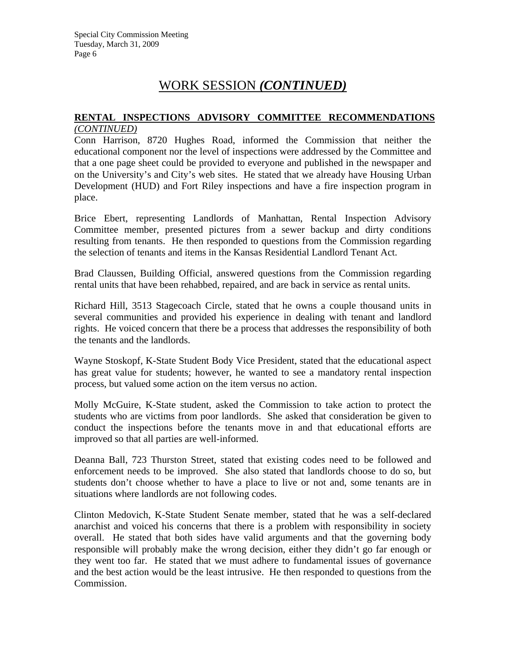#### **RENTAL INSPECTIONS ADVISORY COMMITTEE RECOMMENDATIONS** *(CONTINUED)*

Conn Harrison, 8720 Hughes Road, informed the Commission that neither the educational component nor the level of inspections were addressed by the Committee and that a one page sheet could be provided to everyone and published in the newspaper and on the University's and City's web sites. He stated that we already have Housing Urban Development (HUD) and Fort Riley inspections and have a fire inspection program in place.

Brice Ebert, representing Landlords of Manhattan, Rental Inspection Advisory Committee member, presented pictures from a sewer backup and dirty conditions resulting from tenants. He then responded to questions from the Commission regarding the selection of tenants and items in the Kansas Residential Landlord Tenant Act.

Brad Claussen, Building Official, answered questions from the Commission regarding rental units that have been rehabbed, repaired, and are back in service as rental units.

Richard Hill, 3513 Stagecoach Circle, stated that he owns a couple thousand units in several communities and provided his experience in dealing with tenant and landlord rights. He voiced concern that there be a process that addresses the responsibility of both the tenants and the landlords.

Wayne Stoskopf, K-State Student Body Vice President, stated that the educational aspect has great value for students; however, he wanted to see a mandatory rental inspection process, but valued some action on the item versus no action.

Molly McGuire, K-State student, asked the Commission to take action to protect the students who are victims from poor landlords. She asked that consideration be given to conduct the inspections before the tenants move in and that educational efforts are improved so that all parties are well-informed.

Deanna Ball, 723 Thurston Street, stated that existing codes need to be followed and enforcement needs to be improved. She also stated that landlords choose to do so, but students don't choose whether to have a place to live or not and, some tenants are in situations where landlords are not following codes.

Clinton Medovich, K-State Student Senate member, stated that he was a self-declared anarchist and voiced his concerns that there is a problem with responsibility in society overall. He stated that both sides have valid arguments and that the governing body responsible will probably make the wrong decision, either they didn't go far enough or they went too far. He stated that we must adhere to fundamental issues of governance and the best action would be the least intrusive. He then responded to questions from the Commission.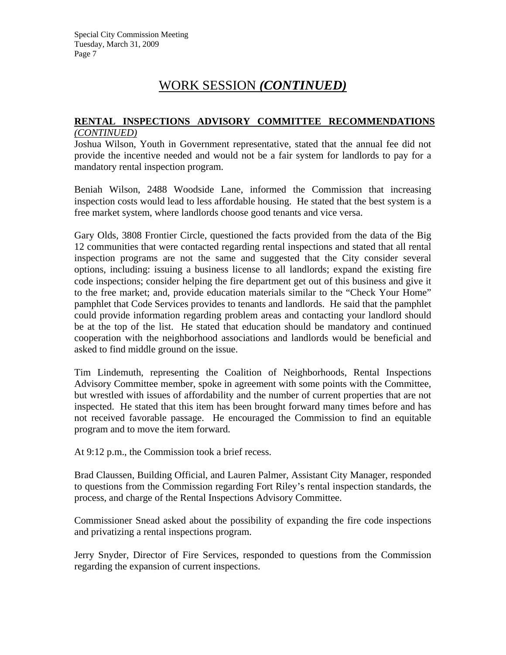#### **RENTAL INSPECTIONS ADVISORY COMMITTEE RECOMMENDATIONS** *(CONTINUED)*

Joshua Wilson, Youth in Government representative, stated that the annual fee did not provide the incentive needed and would not be a fair system for landlords to pay for a mandatory rental inspection program.

Beniah Wilson, 2488 Woodside Lane, informed the Commission that increasing inspection costs would lead to less affordable housing. He stated that the best system is a free market system, where landlords choose good tenants and vice versa.

Gary Olds, 3808 Frontier Circle, questioned the facts provided from the data of the Big 12 communities that were contacted regarding rental inspections and stated that all rental inspection programs are not the same and suggested that the City consider several options, including: issuing a business license to all landlords; expand the existing fire code inspections; consider helping the fire department get out of this business and give it to the free market; and, provide education materials similar to the "Check Your Home" pamphlet that Code Services provides to tenants and landlords. He said that the pamphlet could provide information regarding problem areas and contacting your landlord should be at the top of the list. He stated that education should be mandatory and continued cooperation with the neighborhood associations and landlords would be beneficial and asked to find middle ground on the issue.

Tim Lindemuth, representing the Coalition of Neighborhoods, Rental Inspections Advisory Committee member, spoke in agreement with some points with the Committee, but wrestled with issues of affordability and the number of current properties that are not inspected. He stated that this item has been brought forward many times before and has not received favorable passage. He encouraged the Commission to find an equitable program and to move the item forward.

At 9:12 p.m., the Commission took a brief recess.

Brad Claussen, Building Official, and Lauren Palmer, Assistant City Manager, responded to questions from the Commission regarding Fort Riley's rental inspection standards, the process, and charge of the Rental Inspections Advisory Committee.

Commissioner Snead asked about the possibility of expanding the fire code inspections and privatizing a rental inspections program.

Jerry Snyder, Director of Fire Services, responded to questions from the Commission regarding the expansion of current inspections.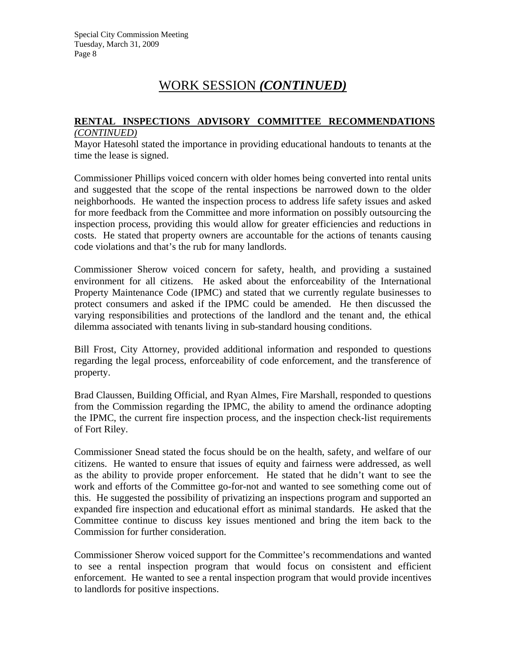#### **RENTAL INSPECTIONS ADVISORY COMMITTEE RECOMMENDATIONS** *(CONTINUED)*

Mayor Hatesohl stated the importance in providing educational handouts to tenants at the time the lease is signed.

Commissioner Phillips voiced concern with older homes being converted into rental units and suggested that the scope of the rental inspections be narrowed down to the older neighborhoods. He wanted the inspection process to address life safety issues and asked for more feedback from the Committee and more information on possibly outsourcing the inspection process, providing this would allow for greater efficiencies and reductions in costs. He stated that property owners are accountable for the actions of tenants causing code violations and that's the rub for many landlords.

Commissioner Sherow voiced concern for safety, health, and providing a sustained environment for all citizens. He asked about the enforceability of the International Property Maintenance Code (IPMC) and stated that we currently regulate businesses to protect consumers and asked if the IPMC could be amended. He then discussed the varying responsibilities and protections of the landlord and the tenant and, the ethical dilemma associated with tenants living in sub-standard housing conditions.

Bill Frost, City Attorney, provided additional information and responded to questions regarding the legal process, enforceability of code enforcement, and the transference of property.

Brad Claussen, Building Official, and Ryan Almes, Fire Marshall, responded to questions from the Commission regarding the IPMC, the ability to amend the ordinance adopting the IPMC, the current fire inspection process, and the inspection check-list requirements of Fort Riley.

Commissioner Snead stated the focus should be on the health, safety, and welfare of our citizens. He wanted to ensure that issues of equity and fairness were addressed, as well as the ability to provide proper enforcement. He stated that he didn't want to see the work and efforts of the Committee go-for-not and wanted to see something come out of this. He suggested the possibility of privatizing an inspections program and supported an expanded fire inspection and educational effort as minimal standards. He asked that the Committee continue to discuss key issues mentioned and bring the item back to the Commission for further consideration.

Commissioner Sherow voiced support for the Committee's recommendations and wanted to see a rental inspection program that would focus on consistent and efficient enforcement. He wanted to see a rental inspection program that would provide incentives to landlords for positive inspections.